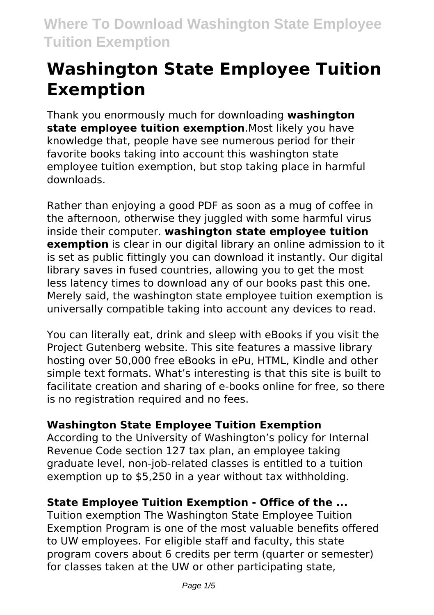# **Washington State Employee Tuition Exemption**

Thank you enormously much for downloading **washington state employee tuition exemption**.Most likely you have knowledge that, people have see numerous period for their favorite books taking into account this washington state employee tuition exemption, but stop taking place in harmful downloads.

Rather than enjoying a good PDF as soon as a mug of coffee in the afternoon, otherwise they juggled with some harmful virus inside their computer. **washington state employee tuition exemption** is clear in our digital library an online admission to it is set as public fittingly you can download it instantly. Our digital library saves in fused countries, allowing you to get the most less latency times to download any of our books past this one. Merely said, the washington state employee tuition exemption is universally compatible taking into account any devices to read.

You can literally eat, drink and sleep with eBooks if you visit the Project Gutenberg website. This site features a massive library hosting over 50,000 free eBooks in ePu, HTML, Kindle and other simple text formats. What's interesting is that this site is built to facilitate creation and sharing of e-books online for free, so there is no registration required and no fees.

# **Washington State Employee Tuition Exemption**

According to the University of Washington's policy for Internal Revenue Code section 127 tax plan, an employee taking graduate level, non-job-related classes is entitled to a tuition exemption up to \$5,250 in a year without tax withholding.

# **State Employee Tuition Exemption - Office of the ...**

Tuition exemption The Washington State Employee Tuition Exemption Program is one of the most valuable benefits offered to UW employees. For eligible staff and faculty, this state program covers about 6 credits per term (quarter or semester) for classes taken at the UW or other participating state,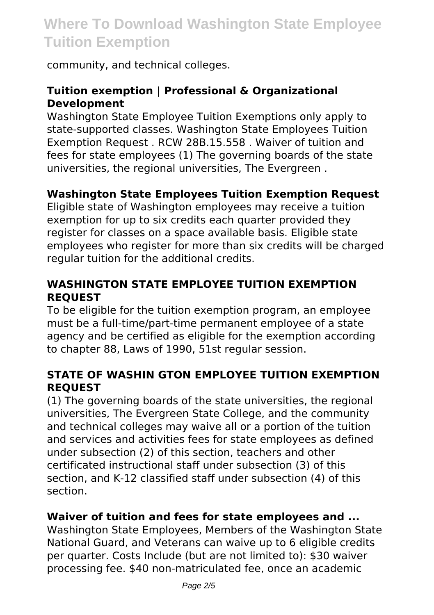community, and technical colleges.

# **Tuition exemption | Professional & Organizational Development**

Washington State Employee Tuition Exemptions only apply to state-supported classes. Washington State Employees Tuition Exemption Request . RCW 28B.15.558 . Waiver of tuition and fees for state employees (1) The governing boards of the state universities, the regional universities, The Evergreen .

# **Washington State Employees Tuition Exemption Request**

Eligible state of Washington employees may receive a tuition exemption for up to six credits each quarter provided they register for classes on a space available basis. Eligible state employees who register for more than six credits will be charged regular tuition for the additional credits.

# **WASHINGTON STATE EMPLOYEE TUITION EXEMPTION REQUEST**

To be eligible for the tuition exemption program, an employee must be a full-time/part-time permanent employee of a state agency and be certified as eligible for the exemption according to chapter 88, Laws of 1990, 51st regular session.

#### **STATE OF WASHIN GTON EMPLOYEE TUITION EXEMPTION REQUEST**

(1) The governing boards of the state universities, the regional universities, The Evergreen State College, and the community and technical colleges may waive all or a portion of the tuition and services and activities fees for state employees as defined under subsection (2) of this section, teachers and other certificated instructional staff under subsection (3) of this section, and K-12 classified staff under subsection (4) of this section.

#### **Waiver of tuition and fees for state employees and ...**

Washington State Employees, Members of the Washington State National Guard, and Veterans can waive up to 6 eligible credits per quarter. Costs Include (but are not limited to): \$30 waiver processing fee. \$40 non-matriculated fee, once an academic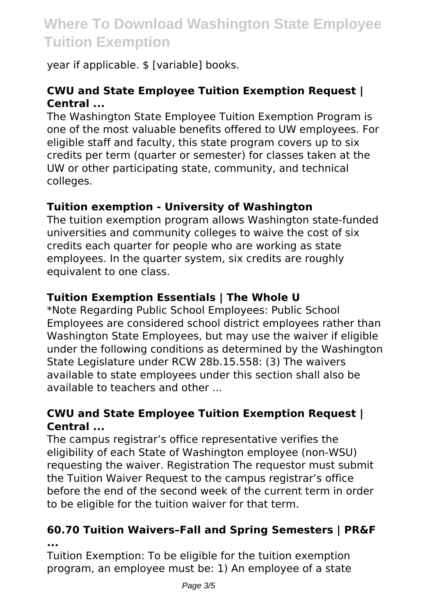year if applicable. \$ [variable] books.

# **CWU and State Employee Tuition Exemption Request | Central ...**

The Washington State Employee Tuition Exemption Program is one of the most valuable benefits offered to UW employees. For eligible staff and faculty, this state program covers up to six credits per term (quarter or semester) for classes taken at the UW or other participating state, community, and technical colleges.

# **Tuition exemption - University of Washington**

The tuition exemption program allows Washington state-funded universities and community colleges to waive the cost of six credits each quarter for people who are working as state employees. In the quarter system, six credits are roughly equivalent to one class.

# **Tuition Exemption Essentials | The Whole U**

\*Note Regarding Public School Employees: Public School Employees are considered school district employees rather than Washington State Employees, but may use the waiver if eligible under the following conditions as determined by the Washington State Legislature under RCW 28b.15.558: (3) The waivers available to state employees under this section shall also be available to teachers and other

#### **CWU and State Employee Tuition Exemption Request | Central ...**

The campus registrar's office representative verifies the eligibility of each State of Washington employee (non-WSU) requesting the waiver. Registration The requestor must submit the Tuition Waiver Request to the campus registrar's office before the end of the second week of the current term in order to be eligible for the tuition waiver for that term.

#### **60.70 Tuition Waivers–Fall and Spring Semesters | PR&F ...**

Tuition Exemption: To be eligible for the tuition exemption program, an employee must be: 1) An employee of a state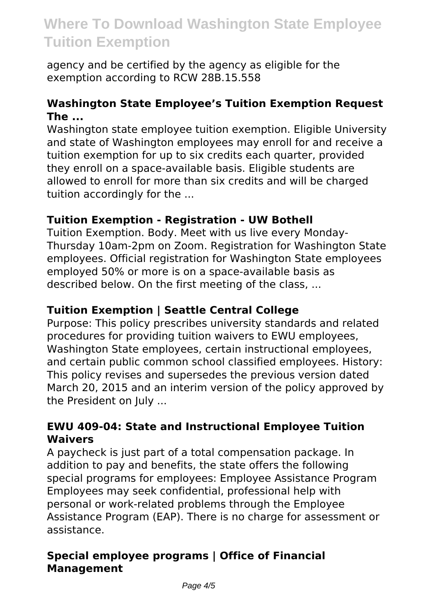agency and be certified by the agency as eligible for the exemption according to RCW 28B.15.558

#### **Washington State Employee's Tuition Exemption Request The ...**

Washington state employee tuition exemption. Eligible University and state of Washington employees may enroll for and receive a tuition exemption for up to six credits each quarter, provided they enroll on a space-available basis. Eligible students are allowed to enroll for more than six credits and will be charged tuition accordingly for the ...

# **Tuition Exemption - Registration - UW Bothell**

Tuition Exemption. Body. Meet with us live every Monday-Thursday 10am-2pm on Zoom. Registration for Washington State employees. Official registration for Washington State employees employed 50% or more is on a space-available basis as described below. On the first meeting of the class, ...

#### **Tuition Exemption | Seattle Central College**

Purpose: This policy prescribes university standards and related procedures for providing tuition waivers to EWU employees, Washington State employees, certain instructional employees, and certain public common school classified employees. History: This policy revises and supersedes the previous version dated March 20, 2015 and an interim version of the policy approved by the President on July ...

# **EWU 409-04: State and Instructional Employee Tuition Waivers**

A paycheck is just part of a total compensation package. In addition to pay and benefits, the state offers the following special programs for employees: Employee Assistance Program Employees may seek confidential, professional help with personal or work-related problems through the Employee Assistance Program (EAP). There is no charge for assessment or assistance.

# **Special employee programs | Office of Financial Management**